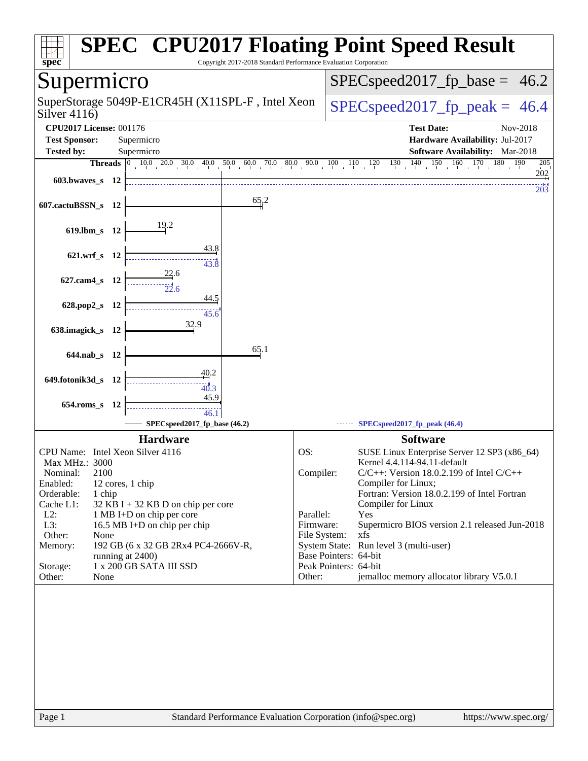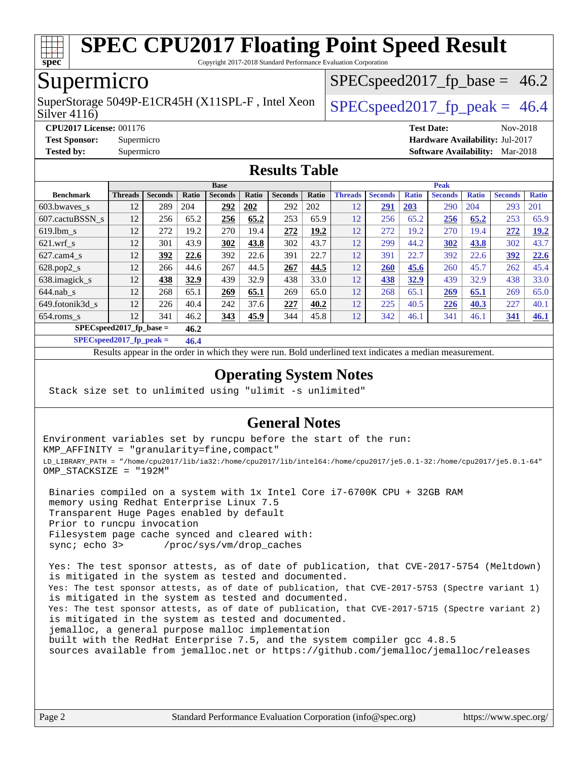

Copyright 2017-2018 Standard Performance Evaluation Corporation

## Supermicro

Silver 4116) SuperStorage 5049P-E1CR45H (X11SPL-F, Intel Xeon  $\big|$  SPECspeed2017 fp\_peak = 46.4

 $SPECspeed2017<sub>fp</sub> base = 46.2$ 

**[CPU2017 License:](http://www.spec.org/auto/cpu2017/Docs/result-fields.html#CPU2017License)** 001176 **[Test Date:](http://www.spec.org/auto/cpu2017/Docs/result-fields.html#TestDate)** Nov-2018 **[Test Sponsor:](http://www.spec.org/auto/cpu2017/Docs/result-fields.html#TestSponsor)** Supermicro **[Hardware Availability:](http://www.spec.org/auto/cpu2017/Docs/result-fields.html#HardwareAvailability)** Jul-2017 **[Tested by:](http://www.spec.org/auto/cpu2017/Docs/result-fields.html#Testedby)** Supermicro **[Software Availability:](http://www.spec.org/auto/cpu2017/Docs/result-fields.html#SoftwareAvailability)** Mar-2018

#### **[Results Table](http://www.spec.org/auto/cpu2017/Docs/result-fields.html#ResultsTable)**

|                             | <b>Base</b>    |                |              |                |       |                | <b>Peak</b> |                |                |              |                |              |                |              |
|-----------------------------|----------------|----------------|--------------|----------------|-------|----------------|-------------|----------------|----------------|--------------|----------------|--------------|----------------|--------------|
| <b>Benchmark</b>            | <b>Threads</b> | <b>Seconds</b> | <b>Ratio</b> | <b>Seconds</b> | Ratio | <b>Seconds</b> | Ratio       | <b>Threads</b> | <b>Seconds</b> | <b>Ratio</b> | <b>Seconds</b> | <b>Ratio</b> | <b>Seconds</b> | <b>Ratio</b> |
| 603.bwayes s                | 12             | 289            | 204          | 292            | 202   | 292            | 202         | 12             | 291            | 203          | 290            | 204          | 293            | 201          |
| 607.cactuBSSN s             | 12             | 256            | 65.2         | 256            | 65.2  | 253            | 65.9        | 12             | 256            | 65.2         | 256            | 65.2         | 253            | 65.9         |
| $619.1$ bm s                | 12             | 272            | 19.2         | 270            | 19.4  | 272            | 19.2        | 12             | 272            | 19.2         | 270            | 19.4         | 272            | <b>19.2</b>  |
| $621.wrf$ s                 | 12             | 301            | 43.9         | 302            | 43.8  | 302            | 43.7        | 12             | 299            | 44.2         | 302            | 43.8         | 302            | 43.7         |
| $627$ .cam $4$ s            | 12             | 392            | 22.6         | 392            | 22.6  | 391            | 22.7        | 12             | 391            | 22.7         | 392            | 22.6         | 392            | 22.6         |
| $628.pop2_s$                | 12             | 266            | 44.6         | 267            | 44.5  | 267            | 44.5        | 12             | 260            | 45.6         | 260            | 45.7         | 262            | 45.4         |
| 638. imagick_s              | 12             | 438            | 32.9         | 439            | 32.9  | 438            | 33.0        | 12             | 438            | 32.9         | 439            | 32.9         | 438            | 33.0         |
| $644$ .nab s                | 12             | 268            | 65.1         | 269            | 65.1  | 269            | 65.0        | 12             | 268            | 65.1         | 269            | 65.1         | 269            | 65.0         |
| 649.fotonik3d s             | 12             | 226            | 40.4         | 242            | 37.6  | 227            | 40.2        | 12             | 225            | 40.5         | 226            | 40.3         | 227            | 40.1         |
| $654$ .roms s               | 12             | 341            | 46.2         | <u>343</u>     | 45.9  | 344            | 45.8        | 12             | 342            | 46.1         | 341            | 46.1         | 341            | 46.1         |
| $SPEC speed2017_fp\_base =$ |                |                | 46.2         |                |       |                |             |                |                |              |                |              |                |              |

**[SPECspeed2017\\_fp\\_peak =](http://www.spec.org/auto/cpu2017/Docs/result-fields.html#SPECspeed2017fppeak) 46.4**

Results appear in the [order in which they were run.](http://www.spec.org/auto/cpu2017/Docs/result-fields.html#RunOrder) Bold underlined text [indicates a median measurement](http://www.spec.org/auto/cpu2017/Docs/result-fields.html#Median).

#### **[Operating System Notes](http://www.spec.org/auto/cpu2017/Docs/result-fields.html#OperatingSystemNotes)**

Stack size set to unlimited using "ulimit -s unlimited"

#### **[General Notes](http://www.spec.org/auto/cpu2017/Docs/result-fields.html#GeneralNotes)**

Environment variables set by runcpu before the start of the run: KMP\_AFFINITY = "granularity=fine,compact" LD\_LIBRARY\_PATH = "/home/cpu2017/lib/ia32:/home/cpu2017/lib/intel64:/home/cpu2017/je5.0.1-32:/home/cpu2017/je5.0.1-64" OMP\_STACKSIZE = "192M"

 Binaries compiled on a system with 1x Intel Core i7-6700K CPU + 32GB RAM memory using Redhat Enterprise Linux 7.5 Transparent Huge Pages enabled by default Prior to runcpu invocation Filesystem page cache synced and cleared with: sync; echo 3> /proc/sys/vm/drop\_caches

 Yes: The test sponsor attests, as of date of publication, that CVE-2017-5754 (Meltdown) is mitigated in the system as tested and documented. Yes: The test sponsor attests, as of date of publication, that CVE-2017-5753 (Spectre variant 1) is mitigated in the system as tested and documented. Yes: The test sponsor attests, as of date of publication, that CVE-2017-5715 (Spectre variant 2) is mitigated in the system as tested and documented. jemalloc, a general purpose malloc implementation built with the RedHat Enterprise 7.5, and the system compiler gcc 4.8.5 sources available from jemalloc.net or <https://github.com/jemalloc/jemalloc/releases>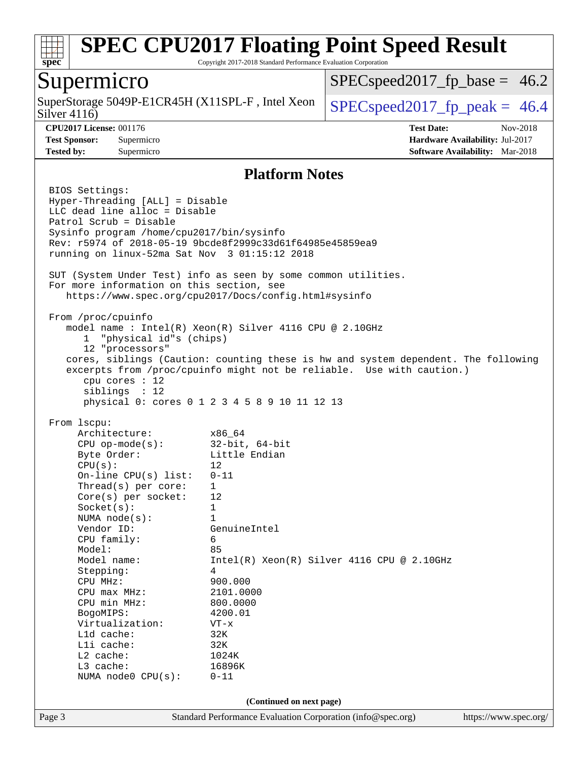

Copyright 2017-2018 Standard Performance Evaluation Corporation

### Supermicro

Silver 4116) SuperStorage 5049P-E1CR45H (X11SPL-F, Intel Xeon  $\Big|$  [SPECspeed2017\\_fp\\_peak =](http://www.spec.org/auto/cpu2017/Docs/result-fields.html#SPECspeed2017fppeak) 46.4

 $SPECspeed2017<sub>fp</sub> base = 46.2$ 

**[CPU2017 License:](http://www.spec.org/auto/cpu2017/Docs/result-fields.html#CPU2017License)** 001176 **[Test Date:](http://www.spec.org/auto/cpu2017/Docs/result-fields.html#TestDate)** Nov-2018 **[Test Sponsor:](http://www.spec.org/auto/cpu2017/Docs/result-fields.html#TestSponsor)** Supermicro **[Hardware Availability:](http://www.spec.org/auto/cpu2017/Docs/result-fields.html#HardwareAvailability)** Jul-2017 **[Tested by:](http://www.spec.org/auto/cpu2017/Docs/result-fields.html#Testedby)** Supermicro **[Software Availability:](http://www.spec.org/auto/cpu2017/Docs/result-fields.html#SoftwareAvailability)** Mar-2018

#### **[Platform Notes](http://www.spec.org/auto/cpu2017/Docs/result-fields.html#PlatformNotes)**

Page 3 Standard Performance Evaluation Corporation [\(info@spec.org\)](mailto:info@spec.org) <https://www.spec.org/> BIOS Settings: Hyper-Threading [ALL] = Disable LLC dead line alloc = Disable Patrol Scrub = Disable Sysinfo program /home/cpu2017/bin/sysinfo Rev: r5974 of 2018-05-19 9bcde8f2999c33d61f64985e45859ea9 running on linux-52ma Sat Nov 3 01:15:12 2018 SUT (System Under Test) info as seen by some common utilities. For more information on this section, see <https://www.spec.org/cpu2017/Docs/config.html#sysinfo> From /proc/cpuinfo model name : Intel(R) Xeon(R) Silver 4116 CPU @ 2.10GHz 1 "physical id"s (chips) 12 "processors" cores, siblings (Caution: counting these is hw and system dependent. The following excerpts from /proc/cpuinfo might not be reliable. Use with caution.) cpu cores : 12 siblings : 12 physical 0: cores 0 1 2 3 4 5 8 9 10 11 12 13 From lscpu: Architecture: x86\_64 CPU op-mode(s): 32-bit, 64-bit Byte Order: Little Endian  $CPU(s):$  12 On-line CPU(s) list: 0-11 Thread(s) per core: 1 Core(s) per socket: 12 Socket(s): 1 NUMA node(s): 1 Vendor ID: GenuineIntel CPU family: 6 Model: 85 Model name: Intel(R) Xeon(R) Silver 4116 CPU @ 2.10GHz Stepping: 4 CPU MHz: 900.000 CPU max MHz: 2101.0000 CPU min MHz: 800.0000 BogoMIPS: 4200.01 Virtualization: VT-x L1d cache: 32K L1i cache: 32K L2 cache: 1024K L3 cache: 16896K NUMA node0 CPU(s): 0-11 **(Continued on next page)**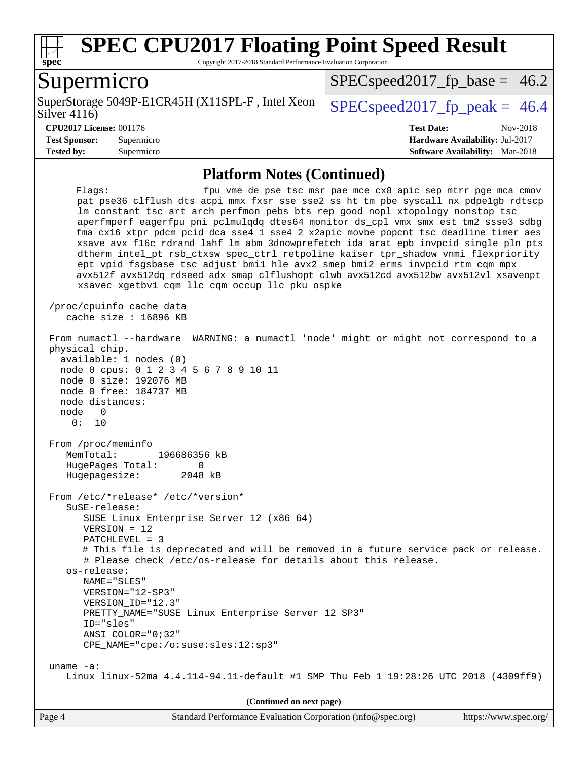

Copyright 2017-2018 Standard Performance Evaluation Corporation

### Supermicro

Silver 4116) SuperStorage 5049P-E1CR45H (X11SPL-F, Intel Xeon  $\big|$  SPECspeed2017 fp\_peak = 46.4

 $SPECspeed2017<sub>fp</sub> base = 46.2$ 

**[Tested by:](http://www.spec.org/auto/cpu2017/Docs/result-fields.html#Testedby)** Supermicro **[Software Availability:](http://www.spec.org/auto/cpu2017/Docs/result-fields.html#SoftwareAvailability)** Mar-2018

**[CPU2017 License:](http://www.spec.org/auto/cpu2017/Docs/result-fields.html#CPU2017License)** 001176 **[Test Date:](http://www.spec.org/auto/cpu2017/Docs/result-fields.html#TestDate)** Nov-2018 **[Test Sponsor:](http://www.spec.org/auto/cpu2017/Docs/result-fields.html#TestSponsor)** Supermicro **[Hardware Availability:](http://www.spec.org/auto/cpu2017/Docs/result-fields.html#HardwareAvailability)** Jul-2017

#### **[Platform Notes \(Continued\)](http://www.spec.org/auto/cpu2017/Docs/result-fields.html#PlatformNotes)**

Flags: fpu vme de pse tsc msr pae mce cx8 apic sep mtrr pge mca cmov pat pse36 clflush dts acpi mmx fxsr sse sse2 ss ht tm pbe syscall nx pdpe1gb rdtscp lm constant\_tsc art arch\_perfmon pebs bts rep\_good nopl xtopology nonstop\_tsc aperfmperf eagerfpu pni pclmulqdq dtes64 monitor ds\_cpl vmx smx est tm2 ssse3 sdbg fma cx16 xtpr pdcm pcid dca sse4\_1 sse4\_2 x2apic movbe popcnt tsc\_deadline\_timer aes xsave avx f16c rdrand lahf\_lm abm 3dnowprefetch ida arat epb invpcid\_single pln pts dtherm intel\_pt rsb\_ctxsw spec\_ctrl retpoline kaiser tpr\_shadow vnmi flexpriority ept vpid fsgsbase tsc\_adjust bmi1 hle avx2 smep bmi2 erms invpcid rtm cqm mpx avx512f avx512dq rdseed adx smap clflushopt clwb avx512cd avx512bw avx512vl xsaveopt xsavec xgetbv1 cqm\_llc cqm\_occup\_llc pku ospke /proc/cpuinfo cache data cache size : 16896 KB From numactl --hardware WARNING: a numactl 'node' might or might not correspond to a physical chip. available: 1 nodes (0) node 0 cpus: 0 1 2 3 4 5 6 7 8 9 10 11 node 0 size: 192076 MB node 0 free: 184737 MB node distances: node 0 0: 10 From /proc/meminfo MemTotal: 196686356 kB HugePages\_Total: 0 Hugepagesize: 2048 kB From /etc/\*release\* /etc/\*version\* SuSE-release: SUSE Linux Enterprise Server 12 (x86\_64) VERSION = 12 PATCHLEVEL = 3 # This file is deprecated and will be removed in a future service pack or release. # Please check /etc/os-release for details about this release. os-release: NAME="SLES" VERSION="12-SP3" VERSION\_ID="12.3" PRETTY\_NAME="SUSE Linux Enterprise Server 12 SP3" ID="sles" ANSI\_COLOR="0;32" CPE\_NAME="cpe:/o:suse:sles:12:sp3" uname -a: Linux linux-52ma 4.4.114-94.11-default #1 SMP Thu Feb 1 19:28:26 UTC 2018 (4309ff9) **(Continued on next page)**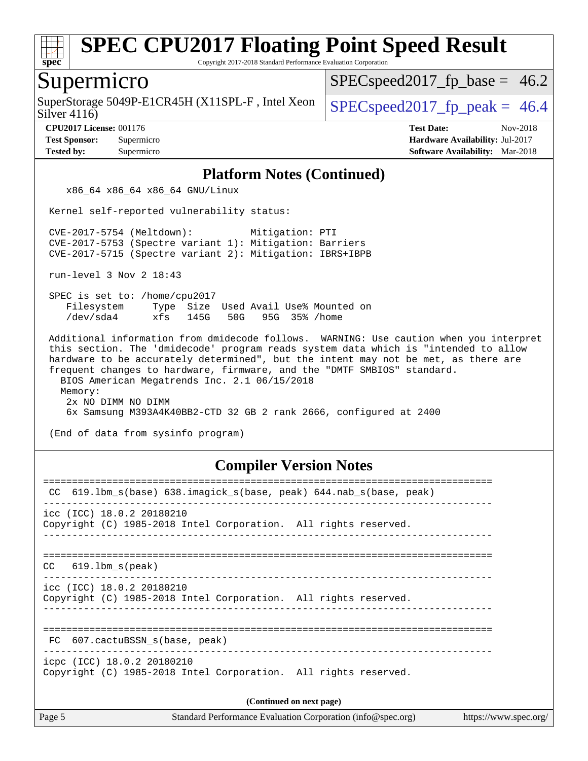

Copyright 2017-2018 Standard Performance Evaluation Corporation

#### Supermicro

Silver 4116) SuperStorage 5049P-E1CR45H (X11SPL-F, Intel Xeon  $\big|$  SPECspeed2017 fp\_peak = 46.4

 $SPECspeed2017<sub>fp</sub> base = 46.2$ 

**[CPU2017 License:](http://www.spec.org/auto/cpu2017/Docs/result-fields.html#CPU2017License)** 001176 **[Test Date:](http://www.spec.org/auto/cpu2017/Docs/result-fields.html#TestDate)** Nov-2018 **[Test Sponsor:](http://www.spec.org/auto/cpu2017/Docs/result-fields.html#TestSponsor)** Supermicro **[Hardware Availability:](http://www.spec.org/auto/cpu2017/Docs/result-fields.html#HardwareAvailability)** Jul-2017 **[Tested by:](http://www.spec.org/auto/cpu2017/Docs/result-fields.html#Testedby)** Supermicro **[Software Availability:](http://www.spec.org/auto/cpu2017/Docs/result-fields.html#SoftwareAvailability)** Mar-2018

#### **[Platform Notes \(Continued\)](http://www.spec.org/auto/cpu2017/Docs/result-fields.html#PlatformNotes)**

x86\_64 x86\_64 x86\_64 GNU/Linux

Kernel self-reported vulnerability status:

 CVE-2017-5754 (Meltdown): Mitigation: PTI CVE-2017-5753 (Spectre variant 1): Mitigation: Barriers CVE-2017-5715 (Spectre variant 2): Mitigation: IBRS+IBPB

run-level 3 Nov 2 18:43

 SPEC is set to: /home/cpu2017 Filesystem Type Size Used Avail Use% Mounted on /dev/sda4 xfs 145G 50G 95G 35% /home

 Additional information from dmidecode follows. WARNING: Use caution when you interpret this section. The 'dmidecode' program reads system data which is "intended to allow hardware to be accurately determined", but the intent may not be met, as there are frequent changes to hardware, firmware, and the "DMTF SMBIOS" standard. BIOS American Megatrends Inc. 2.1 06/15/2018 Memory: 2x NO DIMM NO DIMM 6x Samsung M393A4K40BB2-CTD 32 GB 2 rank 2666, configured at 2400

(End of data from sysinfo program)

#### **[Compiler Version Notes](http://www.spec.org/auto/cpu2017/Docs/result-fields.html#CompilerVersionNotes)**

| 619.1bm_s(base) 638.imagick_s(base, peak) 644.nab_s(base, peak)<br>CC                         |
|-----------------------------------------------------------------------------------------------|
| icc (ICC) 18.0.2 20180210<br>Copyright (C) 1985-2018 Intel Corporation. All rights reserved.  |
| $CC$ 619.1bm $s$ (peak)                                                                       |
| icc (ICC) 18.0.2 20180210<br>Copyright (C) 1985-2018 Intel Corporation. All rights reserved.  |
| FC 607. cactuBSSN s(base, peak)                                                               |
| icpc (ICC) 18.0.2 20180210<br>Copyright (C) 1985-2018 Intel Corporation. All rights reserved. |
| (Continued on next page)                                                                      |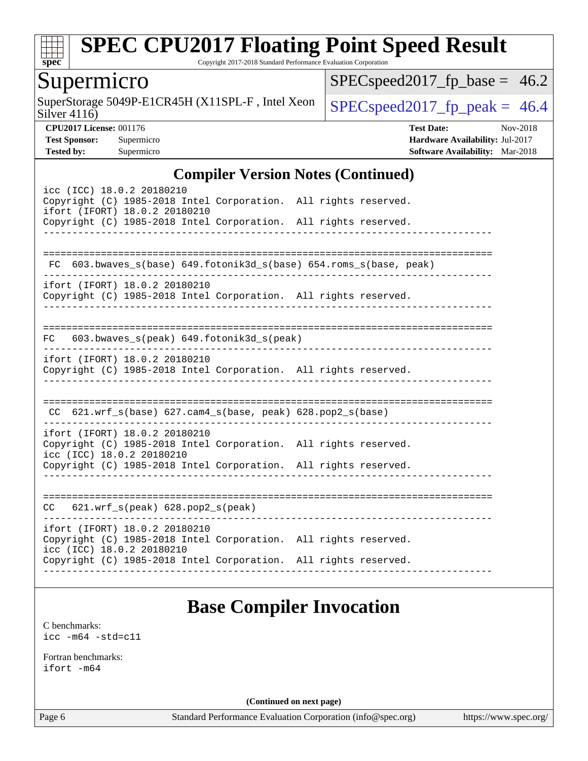

Copyright 2017-2018 Standard Performance Evaluation Corporation

## Supermicro

Silver 4116) SuperStorage 5049P-E1CR45H (X11SPL-F, Intel Xeon  $\Big|$  [SPECspeed2017\\_fp\\_peak =](http://www.spec.org/auto/cpu2017/Docs/result-fields.html#SPECspeed2017fppeak) 46.4

 $SPEC speed2017_fp\_base = 46.2$ 

**[CPU2017 License:](http://www.spec.org/auto/cpu2017/Docs/result-fields.html#CPU2017License)** 001176 **[Test Date:](http://www.spec.org/auto/cpu2017/Docs/result-fields.html#TestDate)** Nov-2018 **[Test Sponsor:](http://www.spec.org/auto/cpu2017/Docs/result-fields.html#TestSponsor)** Supermicro **[Hardware Availability:](http://www.spec.org/auto/cpu2017/Docs/result-fields.html#HardwareAvailability)** Jul-2017 **[Tested by:](http://www.spec.org/auto/cpu2017/Docs/result-fields.html#Testedby)** Supermicro **[Software Availability:](http://www.spec.org/auto/cpu2017/Docs/result-fields.html#SoftwareAvailability)** Mar-2018

#### **[Compiler Version Notes \(Continued\)](http://www.spec.org/auto/cpu2017/Docs/result-fields.html#CompilerVersionNotes)**

| icc (ICC) 18.0.2 20180210<br>ifort (IFORT) 18.0.2 20180210 | $\sigma$ --- $\mu$ -- $\sigma$ - $\sigma$ - $\sigma$ - $\sigma$ - $\sigma$ - $\sigma$ - $\sigma$<br>Copyright (C) 1985-2018 Intel Corporation. All rights reserved.<br>Copyright (C) 1985-2018 Intel Corporation. All rights reserved. |                                                                    |
|------------------------------------------------------------|----------------------------------------------------------------------------------------------------------------------------------------------------------------------------------------------------------------------------------------|--------------------------------------------------------------------|
|                                                            |                                                                                                                                                                                                                                        | FC 603.bwaves_s(base) 649.fotonik3d_s(base) 654.roms_s(base, peak) |
| ifort (IFORT) 18.0.2 20180210                              | Copyright (C) 1985-2018 Intel Corporation. All rights reserved.<br>____________________                                                                                                                                                |                                                                    |
|                                                            | $FC$ 603.bwaves_s(peak) 649.fotonik3d_s(peak)                                                                                                                                                                                          |                                                                    |
| ifort (IFORT) 18.0.2 20180210                              | Copyright (C) 1985-2018 Intel Corporation. All rights reserved.                                                                                                                                                                        |                                                                    |
|                                                            | $CC$ 621.wrf_s(base) 627.cam4_s(base, peak) 628.pop2_s(base)                                                                                                                                                                           |                                                                    |
| ifort (IFORT) 18.0.2 20180210<br>icc (ICC) 18.0.2 20180210 | Copyright (C) 1985-2018 Intel Corporation. All rights reserved.                                                                                                                                                                        |                                                                    |
|                                                            | Copyright (C) 1985-2018 Intel Corporation. All rights reserved.                                                                                                                                                                        |                                                                    |
| CC 621.wrf_s(peak) 628.pop2_s(peak)                        | ---------                                                                                                                                                                                                                              |                                                                    |
| ifort (IFORT) 18.0.2 20180210<br>icc (ICC) 18.0.2 20180210 | Copyright (C) 1985-2018 Intel Corporation. All rights reserved.<br>Copyright (C) 1985-2018 Intel Corporation. All rights reserved.                                                                                                     |                                                                    |
|                                                            |                                                                                                                                                                                                                                        |                                                                    |

## **[Base Compiler Invocation](http://www.spec.org/auto/cpu2017/Docs/result-fields.html#BaseCompilerInvocation)**

[C benchmarks](http://www.spec.org/auto/cpu2017/Docs/result-fields.html#Cbenchmarks): [icc -m64 -std=c11](http://www.spec.org/cpu2017/results/res2018q4/cpu2017-20181112-09670.flags.html#user_CCbase_intel_icc_64bit_c11_33ee0cdaae7deeeab2a9725423ba97205ce30f63b9926c2519791662299b76a0318f32ddfffdc46587804de3178b4f9328c46fa7c2b0cd779d7a61945c91cd35)

[Fortran benchmarks](http://www.spec.org/auto/cpu2017/Docs/result-fields.html#Fortranbenchmarks): [ifort -m64](http://www.spec.org/cpu2017/results/res2018q4/cpu2017-20181112-09670.flags.html#user_FCbase_intel_ifort_64bit_24f2bb282fbaeffd6157abe4f878425411749daecae9a33200eee2bee2fe76f3b89351d69a8130dd5949958ce389cf37ff59a95e7a40d588e8d3a57e0c3fd751)

**(Continued on next page)**

Page 6 Standard Performance Evaluation Corporation [\(info@spec.org\)](mailto:info@spec.org) <https://www.spec.org/>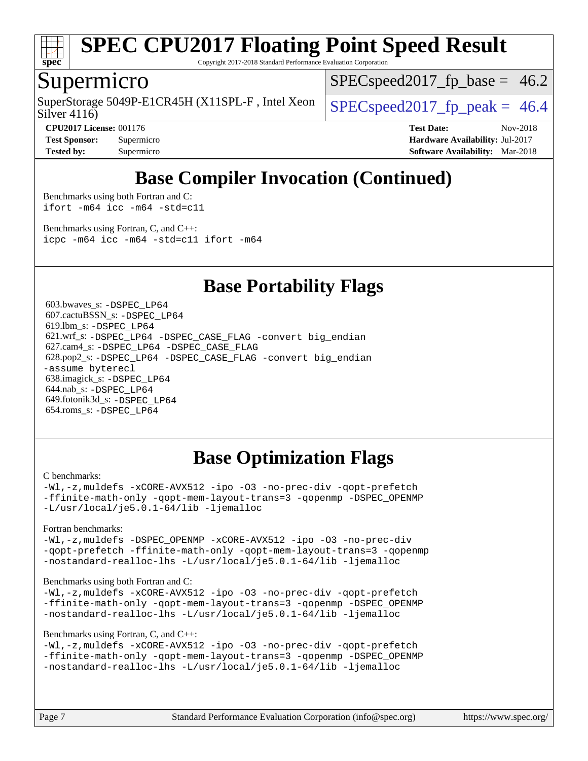

Copyright 2017-2018 Standard Performance Evaluation Corporation

## Supermicro

Silver 4116) SuperStorage 5049P-E1CR45H (X11SPL-F, Intel Xeon  $\big|$  SPECspeed2017 fp\_peak = 46.4

 $SPECspeed2017<sub>fp</sub> base = 46.2$ 

**[Tested by:](http://www.spec.org/auto/cpu2017/Docs/result-fields.html#Testedby)** Supermicro **[Software Availability:](http://www.spec.org/auto/cpu2017/Docs/result-fields.html#SoftwareAvailability)** Mar-2018

**[CPU2017 License:](http://www.spec.org/auto/cpu2017/Docs/result-fields.html#CPU2017License)** 001176 **[Test Date:](http://www.spec.org/auto/cpu2017/Docs/result-fields.html#TestDate)** Nov-2018 **[Test Sponsor:](http://www.spec.org/auto/cpu2017/Docs/result-fields.html#TestSponsor)** Supermicro **[Hardware Availability:](http://www.spec.org/auto/cpu2017/Docs/result-fields.html#HardwareAvailability)** Jul-2017

# **[Base Compiler Invocation \(Continued\)](http://www.spec.org/auto/cpu2017/Docs/result-fields.html#BaseCompilerInvocation)**

[Benchmarks using both Fortran and C](http://www.spec.org/auto/cpu2017/Docs/result-fields.html#BenchmarksusingbothFortranandC): [ifort -m64](http://www.spec.org/cpu2017/results/res2018q4/cpu2017-20181112-09670.flags.html#user_CC_FCbase_intel_ifort_64bit_24f2bb282fbaeffd6157abe4f878425411749daecae9a33200eee2bee2fe76f3b89351d69a8130dd5949958ce389cf37ff59a95e7a40d588e8d3a57e0c3fd751) [icc -m64 -std=c11](http://www.spec.org/cpu2017/results/res2018q4/cpu2017-20181112-09670.flags.html#user_CC_FCbase_intel_icc_64bit_c11_33ee0cdaae7deeeab2a9725423ba97205ce30f63b9926c2519791662299b76a0318f32ddfffdc46587804de3178b4f9328c46fa7c2b0cd779d7a61945c91cd35)

[Benchmarks using Fortran, C, and C++:](http://www.spec.org/auto/cpu2017/Docs/result-fields.html#BenchmarksusingFortranCandCXX) [icpc -m64](http://www.spec.org/cpu2017/results/res2018q4/cpu2017-20181112-09670.flags.html#user_CC_CXX_FCbase_intel_icpc_64bit_4ecb2543ae3f1412ef961e0650ca070fec7b7afdcd6ed48761b84423119d1bf6bdf5cad15b44d48e7256388bc77273b966e5eb805aefd121eb22e9299b2ec9d9) [icc -m64 -std=c11](http://www.spec.org/cpu2017/results/res2018q4/cpu2017-20181112-09670.flags.html#user_CC_CXX_FCbase_intel_icc_64bit_c11_33ee0cdaae7deeeab2a9725423ba97205ce30f63b9926c2519791662299b76a0318f32ddfffdc46587804de3178b4f9328c46fa7c2b0cd779d7a61945c91cd35) [ifort -m64](http://www.spec.org/cpu2017/results/res2018q4/cpu2017-20181112-09670.flags.html#user_CC_CXX_FCbase_intel_ifort_64bit_24f2bb282fbaeffd6157abe4f878425411749daecae9a33200eee2bee2fe76f3b89351d69a8130dd5949958ce389cf37ff59a95e7a40d588e8d3a57e0c3fd751)

### **[Base Portability Flags](http://www.spec.org/auto/cpu2017/Docs/result-fields.html#BasePortabilityFlags)**

 603.bwaves\_s: [-DSPEC\\_LP64](http://www.spec.org/cpu2017/results/res2018q4/cpu2017-20181112-09670.flags.html#suite_basePORTABILITY603_bwaves_s_DSPEC_LP64) 607.cactuBSSN\_s: [-DSPEC\\_LP64](http://www.spec.org/cpu2017/results/res2018q4/cpu2017-20181112-09670.flags.html#suite_basePORTABILITY607_cactuBSSN_s_DSPEC_LP64) 619.lbm\_s: [-DSPEC\\_LP64](http://www.spec.org/cpu2017/results/res2018q4/cpu2017-20181112-09670.flags.html#suite_basePORTABILITY619_lbm_s_DSPEC_LP64) 621.wrf\_s: [-DSPEC\\_LP64](http://www.spec.org/cpu2017/results/res2018q4/cpu2017-20181112-09670.flags.html#suite_basePORTABILITY621_wrf_s_DSPEC_LP64) [-DSPEC\\_CASE\\_FLAG](http://www.spec.org/cpu2017/results/res2018q4/cpu2017-20181112-09670.flags.html#b621.wrf_s_baseCPORTABILITY_DSPEC_CASE_FLAG) [-convert big\\_endian](http://www.spec.org/cpu2017/results/res2018q4/cpu2017-20181112-09670.flags.html#user_baseFPORTABILITY621_wrf_s_convert_big_endian_c3194028bc08c63ac5d04de18c48ce6d347e4e562e8892b8bdbdc0214820426deb8554edfa529a3fb25a586e65a3d812c835984020483e7e73212c4d31a38223) 627.cam4\_s: [-DSPEC\\_LP64](http://www.spec.org/cpu2017/results/res2018q4/cpu2017-20181112-09670.flags.html#suite_basePORTABILITY627_cam4_s_DSPEC_LP64) [-DSPEC\\_CASE\\_FLAG](http://www.spec.org/cpu2017/results/res2018q4/cpu2017-20181112-09670.flags.html#b627.cam4_s_baseCPORTABILITY_DSPEC_CASE_FLAG) 628.pop2\_s: [-DSPEC\\_LP64](http://www.spec.org/cpu2017/results/res2018q4/cpu2017-20181112-09670.flags.html#suite_basePORTABILITY628_pop2_s_DSPEC_LP64) [-DSPEC\\_CASE\\_FLAG](http://www.spec.org/cpu2017/results/res2018q4/cpu2017-20181112-09670.flags.html#b628.pop2_s_baseCPORTABILITY_DSPEC_CASE_FLAG) [-convert big\\_endian](http://www.spec.org/cpu2017/results/res2018q4/cpu2017-20181112-09670.flags.html#user_baseFPORTABILITY628_pop2_s_convert_big_endian_c3194028bc08c63ac5d04de18c48ce6d347e4e562e8892b8bdbdc0214820426deb8554edfa529a3fb25a586e65a3d812c835984020483e7e73212c4d31a38223) [-assume byterecl](http://www.spec.org/cpu2017/results/res2018q4/cpu2017-20181112-09670.flags.html#user_baseFPORTABILITY628_pop2_s_assume_byterecl_7e47d18b9513cf18525430bbf0f2177aa9bf368bc7a059c09b2c06a34b53bd3447c950d3f8d6c70e3faf3a05c8557d66a5798b567902e8849adc142926523472) 638.imagick\_s: [-DSPEC\\_LP64](http://www.spec.org/cpu2017/results/res2018q4/cpu2017-20181112-09670.flags.html#suite_basePORTABILITY638_imagick_s_DSPEC_LP64) 644.nab\_s: [-DSPEC\\_LP64](http://www.spec.org/cpu2017/results/res2018q4/cpu2017-20181112-09670.flags.html#suite_basePORTABILITY644_nab_s_DSPEC_LP64) 649.fotonik3d\_s: [-DSPEC\\_LP64](http://www.spec.org/cpu2017/results/res2018q4/cpu2017-20181112-09670.flags.html#suite_basePORTABILITY649_fotonik3d_s_DSPEC_LP64) 654.roms\_s: [-DSPEC\\_LP64](http://www.spec.org/cpu2017/results/res2018q4/cpu2017-20181112-09670.flags.html#suite_basePORTABILITY654_roms_s_DSPEC_LP64)

# **[Base Optimization Flags](http://www.spec.org/auto/cpu2017/Docs/result-fields.html#BaseOptimizationFlags)**

#### [C benchmarks](http://www.spec.org/auto/cpu2017/Docs/result-fields.html#Cbenchmarks):

[-Wl,-z,muldefs](http://www.spec.org/cpu2017/results/res2018q4/cpu2017-20181112-09670.flags.html#user_CCbase_link_force_multiple1_b4cbdb97b34bdee9ceefcfe54f4c8ea74255f0b02a4b23e853cdb0e18eb4525ac79b5a88067c842dd0ee6996c24547a27a4b99331201badda8798ef8a743f577) [-xCORE-AVX512](http://www.spec.org/cpu2017/results/res2018q4/cpu2017-20181112-09670.flags.html#user_CCbase_f-xCORE-AVX512) [-ipo](http://www.spec.org/cpu2017/results/res2018q4/cpu2017-20181112-09670.flags.html#user_CCbase_f-ipo) [-O3](http://www.spec.org/cpu2017/results/res2018q4/cpu2017-20181112-09670.flags.html#user_CCbase_f-O3) [-no-prec-div](http://www.spec.org/cpu2017/results/res2018q4/cpu2017-20181112-09670.flags.html#user_CCbase_f-no-prec-div) [-qopt-prefetch](http://www.spec.org/cpu2017/results/res2018q4/cpu2017-20181112-09670.flags.html#user_CCbase_f-qopt-prefetch) [-ffinite-math-only](http://www.spec.org/cpu2017/results/res2018q4/cpu2017-20181112-09670.flags.html#user_CCbase_f_finite_math_only_cb91587bd2077682c4b38af759c288ed7c732db004271a9512da14a4f8007909a5f1427ecbf1a0fb78ff2a814402c6114ac565ca162485bbcae155b5e4258871) [-qopt-mem-layout-trans=3](http://www.spec.org/cpu2017/results/res2018q4/cpu2017-20181112-09670.flags.html#user_CCbase_f-qopt-mem-layout-trans_de80db37974c74b1f0e20d883f0b675c88c3b01e9d123adea9b28688d64333345fb62bc4a798493513fdb68f60282f9a726aa07f478b2f7113531aecce732043) [-qopenmp](http://www.spec.org/cpu2017/results/res2018q4/cpu2017-20181112-09670.flags.html#user_CCbase_qopenmp_16be0c44f24f464004c6784a7acb94aca937f053568ce72f94b139a11c7c168634a55f6653758ddd83bcf7b8463e8028bb0b48b77bcddc6b78d5d95bb1df2967) [-DSPEC\\_OPENMP](http://www.spec.org/cpu2017/results/res2018q4/cpu2017-20181112-09670.flags.html#suite_CCbase_DSPEC_OPENMP) [-L/usr/local/je5.0.1-64/lib](http://www.spec.org/cpu2017/results/res2018q4/cpu2017-20181112-09670.flags.html#user_CCbase_jemalloc_link_path64_4b10a636b7bce113509b17f3bd0d6226c5fb2346b9178c2d0232c14f04ab830f976640479e5c33dc2bcbbdad86ecfb6634cbbd4418746f06f368b512fced5394) [-ljemalloc](http://www.spec.org/cpu2017/results/res2018q4/cpu2017-20181112-09670.flags.html#user_CCbase_jemalloc_link_lib_d1249b907c500fa1c0672f44f562e3d0f79738ae9e3c4a9c376d49f265a04b9c99b167ecedbf6711b3085be911c67ff61f150a17b3472be731631ba4d0471706)

[Fortran benchmarks](http://www.spec.org/auto/cpu2017/Docs/result-fields.html#Fortranbenchmarks):

[-Wl,-z,muldefs](http://www.spec.org/cpu2017/results/res2018q4/cpu2017-20181112-09670.flags.html#user_FCbase_link_force_multiple1_b4cbdb97b34bdee9ceefcfe54f4c8ea74255f0b02a4b23e853cdb0e18eb4525ac79b5a88067c842dd0ee6996c24547a27a4b99331201badda8798ef8a743f577) [-DSPEC\\_OPENMP](http://www.spec.org/cpu2017/results/res2018q4/cpu2017-20181112-09670.flags.html#suite_FCbase_DSPEC_OPENMP) [-xCORE-AVX512](http://www.spec.org/cpu2017/results/res2018q4/cpu2017-20181112-09670.flags.html#user_FCbase_f-xCORE-AVX512) [-ipo](http://www.spec.org/cpu2017/results/res2018q4/cpu2017-20181112-09670.flags.html#user_FCbase_f-ipo) [-O3](http://www.spec.org/cpu2017/results/res2018q4/cpu2017-20181112-09670.flags.html#user_FCbase_f-O3) [-no-prec-div](http://www.spec.org/cpu2017/results/res2018q4/cpu2017-20181112-09670.flags.html#user_FCbase_f-no-prec-div) [-qopt-prefetch](http://www.spec.org/cpu2017/results/res2018q4/cpu2017-20181112-09670.flags.html#user_FCbase_f-qopt-prefetch) [-ffinite-math-only](http://www.spec.org/cpu2017/results/res2018q4/cpu2017-20181112-09670.flags.html#user_FCbase_f_finite_math_only_cb91587bd2077682c4b38af759c288ed7c732db004271a9512da14a4f8007909a5f1427ecbf1a0fb78ff2a814402c6114ac565ca162485bbcae155b5e4258871) [-qopt-mem-layout-trans=3](http://www.spec.org/cpu2017/results/res2018q4/cpu2017-20181112-09670.flags.html#user_FCbase_f-qopt-mem-layout-trans_de80db37974c74b1f0e20d883f0b675c88c3b01e9d123adea9b28688d64333345fb62bc4a798493513fdb68f60282f9a726aa07f478b2f7113531aecce732043) [-qopenmp](http://www.spec.org/cpu2017/results/res2018q4/cpu2017-20181112-09670.flags.html#user_FCbase_qopenmp_16be0c44f24f464004c6784a7acb94aca937f053568ce72f94b139a11c7c168634a55f6653758ddd83bcf7b8463e8028bb0b48b77bcddc6b78d5d95bb1df2967) [-nostandard-realloc-lhs](http://www.spec.org/cpu2017/results/res2018q4/cpu2017-20181112-09670.flags.html#user_FCbase_f_2003_std_realloc_82b4557e90729c0f113870c07e44d33d6f5a304b4f63d4c15d2d0f1fab99f5daaed73bdb9275d9ae411527f28b936061aa8b9c8f2d63842963b95c9dd6426b8a) [-L/usr/local/je5.0.1-64/lib](http://www.spec.org/cpu2017/results/res2018q4/cpu2017-20181112-09670.flags.html#user_FCbase_jemalloc_link_path64_4b10a636b7bce113509b17f3bd0d6226c5fb2346b9178c2d0232c14f04ab830f976640479e5c33dc2bcbbdad86ecfb6634cbbd4418746f06f368b512fced5394) [-ljemalloc](http://www.spec.org/cpu2017/results/res2018q4/cpu2017-20181112-09670.flags.html#user_FCbase_jemalloc_link_lib_d1249b907c500fa1c0672f44f562e3d0f79738ae9e3c4a9c376d49f265a04b9c99b167ecedbf6711b3085be911c67ff61f150a17b3472be731631ba4d0471706)

#### [Benchmarks using both Fortran and C](http://www.spec.org/auto/cpu2017/Docs/result-fields.html#BenchmarksusingbothFortranandC):

[-Wl,-z,muldefs](http://www.spec.org/cpu2017/results/res2018q4/cpu2017-20181112-09670.flags.html#user_CC_FCbase_link_force_multiple1_b4cbdb97b34bdee9ceefcfe54f4c8ea74255f0b02a4b23e853cdb0e18eb4525ac79b5a88067c842dd0ee6996c24547a27a4b99331201badda8798ef8a743f577) [-xCORE-AVX512](http://www.spec.org/cpu2017/results/res2018q4/cpu2017-20181112-09670.flags.html#user_CC_FCbase_f-xCORE-AVX512) [-ipo](http://www.spec.org/cpu2017/results/res2018q4/cpu2017-20181112-09670.flags.html#user_CC_FCbase_f-ipo) [-O3](http://www.spec.org/cpu2017/results/res2018q4/cpu2017-20181112-09670.flags.html#user_CC_FCbase_f-O3) [-no-prec-div](http://www.spec.org/cpu2017/results/res2018q4/cpu2017-20181112-09670.flags.html#user_CC_FCbase_f-no-prec-div) [-qopt-prefetch](http://www.spec.org/cpu2017/results/res2018q4/cpu2017-20181112-09670.flags.html#user_CC_FCbase_f-qopt-prefetch) [-ffinite-math-only](http://www.spec.org/cpu2017/results/res2018q4/cpu2017-20181112-09670.flags.html#user_CC_FCbase_f_finite_math_only_cb91587bd2077682c4b38af759c288ed7c732db004271a9512da14a4f8007909a5f1427ecbf1a0fb78ff2a814402c6114ac565ca162485bbcae155b5e4258871) [-qopt-mem-layout-trans=3](http://www.spec.org/cpu2017/results/res2018q4/cpu2017-20181112-09670.flags.html#user_CC_FCbase_f-qopt-mem-layout-trans_de80db37974c74b1f0e20d883f0b675c88c3b01e9d123adea9b28688d64333345fb62bc4a798493513fdb68f60282f9a726aa07f478b2f7113531aecce732043) [-qopenmp](http://www.spec.org/cpu2017/results/res2018q4/cpu2017-20181112-09670.flags.html#user_CC_FCbase_qopenmp_16be0c44f24f464004c6784a7acb94aca937f053568ce72f94b139a11c7c168634a55f6653758ddd83bcf7b8463e8028bb0b48b77bcddc6b78d5d95bb1df2967) [-DSPEC\\_OPENMP](http://www.spec.org/cpu2017/results/res2018q4/cpu2017-20181112-09670.flags.html#suite_CC_FCbase_DSPEC_OPENMP) [-nostandard-realloc-lhs](http://www.spec.org/cpu2017/results/res2018q4/cpu2017-20181112-09670.flags.html#user_CC_FCbase_f_2003_std_realloc_82b4557e90729c0f113870c07e44d33d6f5a304b4f63d4c15d2d0f1fab99f5daaed73bdb9275d9ae411527f28b936061aa8b9c8f2d63842963b95c9dd6426b8a) [-L/usr/local/je5.0.1-64/lib](http://www.spec.org/cpu2017/results/res2018q4/cpu2017-20181112-09670.flags.html#user_CC_FCbase_jemalloc_link_path64_4b10a636b7bce113509b17f3bd0d6226c5fb2346b9178c2d0232c14f04ab830f976640479e5c33dc2bcbbdad86ecfb6634cbbd4418746f06f368b512fced5394) [-ljemalloc](http://www.spec.org/cpu2017/results/res2018q4/cpu2017-20181112-09670.flags.html#user_CC_FCbase_jemalloc_link_lib_d1249b907c500fa1c0672f44f562e3d0f79738ae9e3c4a9c376d49f265a04b9c99b167ecedbf6711b3085be911c67ff61f150a17b3472be731631ba4d0471706)

#### [Benchmarks using Fortran, C, and C++:](http://www.spec.org/auto/cpu2017/Docs/result-fields.html#BenchmarksusingFortranCandCXX)

```
-Wl,-z,muldefs -xCORE-AVX512 -ipo -O3 -no-prec-div -qopt-prefetch
-ffinite-math-only -qopt-mem-layout-trans=3 -qopenmp -DSPEC_OPENMP
-nostandard-realloc-lhs -L/usr/local/je5.0.1-64/lib -ljemalloc
```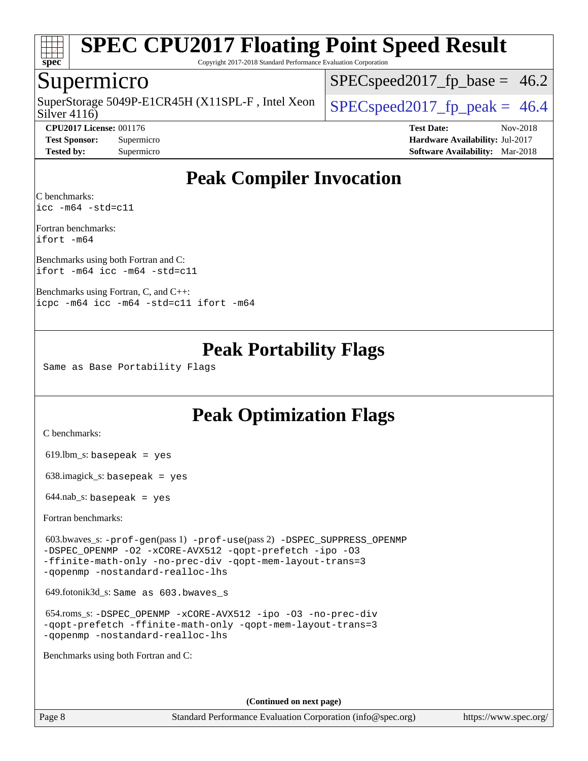

Copyright 2017-2018 Standard Performance Evaluation Corporation

## Supermicro

Silver 4116) SuperStorage 5049P-E1CR45H (X11SPL-F, Intel Xeon  $\big|$  SPECspeed2017 fp\_peak = 46.4

 $SPECspeed2017<sub>fp</sub> base = 46.2$ 

**[CPU2017 License:](http://www.spec.org/auto/cpu2017/Docs/result-fields.html#CPU2017License)** 001176 **[Test Date:](http://www.spec.org/auto/cpu2017/Docs/result-fields.html#TestDate)** Nov-2018 **[Test Sponsor:](http://www.spec.org/auto/cpu2017/Docs/result-fields.html#TestSponsor)** Supermicro **[Hardware Availability:](http://www.spec.org/auto/cpu2017/Docs/result-fields.html#HardwareAvailability)** Jul-2017 **[Tested by:](http://www.spec.org/auto/cpu2017/Docs/result-fields.html#Testedby)** Supermicro **[Software Availability:](http://www.spec.org/auto/cpu2017/Docs/result-fields.html#SoftwareAvailability)** Mar-2018

# **[Peak Compiler Invocation](http://www.spec.org/auto/cpu2017/Docs/result-fields.html#PeakCompilerInvocation)**

[C benchmarks](http://www.spec.org/auto/cpu2017/Docs/result-fields.html#Cbenchmarks): [icc -m64 -std=c11](http://www.spec.org/cpu2017/results/res2018q4/cpu2017-20181112-09670.flags.html#user_CCpeak_intel_icc_64bit_c11_33ee0cdaae7deeeab2a9725423ba97205ce30f63b9926c2519791662299b76a0318f32ddfffdc46587804de3178b4f9328c46fa7c2b0cd779d7a61945c91cd35)

[Fortran benchmarks:](http://www.spec.org/auto/cpu2017/Docs/result-fields.html#Fortranbenchmarks) [ifort -m64](http://www.spec.org/cpu2017/results/res2018q4/cpu2017-20181112-09670.flags.html#user_FCpeak_intel_ifort_64bit_24f2bb282fbaeffd6157abe4f878425411749daecae9a33200eee2bee2fe76f3b89351d69a8130dd5949958ce389cf37ff59a95e7a40d588e8d3a57e0c3fd751)

[Benchmarks using both Fortran and C](http://www.spec.org/auto/cpu2017/Docs/result-fields.html#BenchmarksusingbothFortranandC): [ifort -m64](http://www.spec.org/cpu2017/results/res2018q4/cpu2017-20181112-09670.flags.html#user_CC_FCpeak_intel_ifort_64bit_24f2bb282fbaeffd6157abe4f878425411749daecae9a33200eee2bee2fe76f3b89351d69a8130dd5949958ce389cf37ff59a95e7a40d588e8d3a57e0c3fd751) [icc -m64 -std=c11](http://www.spec.org/cpu2017/results/res2018q4/cpu2017-20181112-09670.flags.html#user_CC_FCpeak_intel_icc_64bit_c11_33ee0cdaae7deeeab2a9725423ba97205ce30f63b9926c2519791662299b76a0318f32ddfffdc46587804de3178b4f9328c46fa7c2b0cd779d7a61945c91cd35)

[Benchmarks using Fortran, C, and C++](http://www.spec.org/auto/cpu2017/Docs/result-fields.html#BenchmarksusingFortranCandCXX): [icpc -m64](http://www.spec.org/cpu2017/results/res2018q4/cpu2017-20181112-09670.flags.html#user_CC_CXX_FCpeak_intel_icpc_64bit_4ecb2543ae3f1412ef961e0650ca070fec7b7afdcd6ed48761b84423119d1bf6bdf5cad15b44d48e7256388bc77273b966e5eb805aefd121eb22e9299b2ec9d9) [icc -m64 -std=c11](http://www.spec.org/cpu2017/results/res2018q4/cpu2017-20181112-09670.flags.html#user_CC_CXX_FCpeak_intel_icc_64bit_c11_33ee0cdaae7deeeab2a9725423ba97205ce30f63b9926c2519791662299b76a0318f32ddfffdc46587804de3178b4f9328c46fa7c2b0cd779d7a61945c91cd35) [ifort -m64](http://www.spec.org/cpu2017/results/res2018q4/cpu2017-20181112-09670.flags.html#user_CC_CXX_FCpeak_intel_ifort_64bit_24f2bb282fbaeffd6157abe4f878425411749daecae9a33200eee2bee2fe76f3b89351d69a8130dd5949958ce389cf37ff59a95e7a40d588e8d3a57e0c3fd751)

## **[Peak Portability Flags](http://www.spec.org/auto/cpu2017/Docs/result-fields.html#PeakPortabilityFlags)**

Same as Base Portability Flags

## **[Peak Optimization Flags](http://www.spec.org/auto/cpu2017/Docs/result-fields.html#PeakOptimizationFlags)**

[C benchmarks](http://www.spec.org/auto/cpu2017/Docs/result-fields.html#Cbenchmarks):

619.lbm\_s: basepeak = yes

638.imagick\_s: basepeak = yes

 $644$ .nab\_s: basepeak = yes

[Fortran benchmarks](http://www.spec.org/auto/cpu2017/Docs/result-fields.html#Fortranbenchmarks):

 603.bwaves\_s: [-prof-gen](http://www.spec.org/cpu2017/results/res2018q4/cpu2017-20181112-09670.flags.html#user_peakPASS1_FFLAGSPASS1_LDFLAGS603_bwaves_s_prof_gen_5aa4926d6013ddb2a31985c654b3eb18169fc0c6952a63635c234f711e6e63dd76e94ad52365559451ec499a2cdb89e4dc58ba4c67ef54ca681ffbe1461d6b36)(pass 1) [-prof-use](http://www.spec.org/cpu2017/results/res2018q4/cpu2017-20181112-09670.flags.html#user_peakPASS2_FFLAGSPASS2_LDFLAGS603_bwaves_s_prof_use_1a21ceae95f36a2b53c25747139a6c16ca95bd9def2a207b4f0849963b97e94f5260e30a0c64f4bb623698870e679ca08317ef8150905d41bd88c6f78df73f19)(pass 2) [-DSPEC\\_SUPPRESS\\_OPENMP](http://www.spec.org/cpu2017/results/res2018q4/cpu2017-20181112-09670.flags.html#suite_peakPASS1_FOPTIMIZE603_bwaves_s_DSPEC_SUPPRESS_OPENMP) [-DSPEC\\_OPENMP](http://www.spec.org/cpu2017/results/res2018q4/cpu2017-20181112-09670.flags.html#suite_peakPASS2_FOPTIMIZE603_bwaves_s_DSPEC_OPENMP) [-O2](http://www.spec.org/cpu2017/results/res2018q4/cpu2017-20181112-09670.flags.html#user_peakPASS1_FOPTIMIZE603_bwaves_s_f-O2) [-xCORE-AVX512](http://www.spec.org/cpu2017/results/res2018q4/cpu2017-20181112-09670.flags.html#user_peakPASS2_FOPTIMIZE603_bwaves_s_f-xCORE-AVX512) [-qopt-prefetch](http://www.spec.org/cpu2017/results/res2018q4/cpu2017-20181112-09670.flags.html#user_peakPASS1_FOPTIMIZEPASS2_FOPTIMIZE603_bwaves_s_f-qopt-prefetch) [-ipo](http://www.spec.org/cpu2017/results/res2018q4/cpu2017-20181112-09670.flags.html#user_peakPASS2_FOPTIMIZE603_bwaves_s_f-ipo) [-O3](http://www.spec.org/cpu2017/results/res2018q4/cpu2017-20181112-09670.flags.html#user_peakPASS2_FOPTIMIZE603_bwaves_s_f-O3) [-ffinite-math-only](http://www.spec.org/cpu2017/results/res2018q4/cpu2017-20181112-09670.flags.html#user_peakPASS1_FOPTIMIZEPASS2_FOPTIMIZE603_bwaves_s_f_finite_math_only_cb91587bd2077682c4b38af759c288ed7c732db004271a9512da14a4f8007909a5f1427ecbf1a0fb78ff2a814402c6114ac565ca162485bbcae155b5e4258871) [-no-prec-div](http://www.spec.org/cpu2017/results/res2018q4/cpu2017-20181112-09670.flags.html#user_peakPASS2_FOPTIMIZE603_bwaves_s_f-no-prec-div) [-qopt-mem-layout-trans=3](http://www.spec.org/cpu2017/results/res2018q4/cpu2017-20181112-09670.flags.html#user_peakPASS1_FOPTIMIZEPASS2_FOPTIMIZE603_bwaves_s_f-qopt-mem-layout-trans_de80db37974c74b1f0e20d883f0b675c88c3b01e9d123adea9b28688d64333345fb62bc4a798493513fdb68f60282f9a726aa07f478b2f7113531aecce732043) [-qopenmp](http://www.spec.org/cpu2017/results/res2018q4/cpu2017-20181112-09670.flags.html#user_peakPASS2_FOPTIMIZE603_bwaves_s_qopenmp_16be0c44f24f464004c6784a7acb94aca937f053568ce72f94b139a11c7c168634a55f6653758ddd83bcf7b8463e8028bb0b48b77bcddc6b78d5d95bb1df2967) [-nostandard-realloc-lhs](http://www.spec.org/cpu2017/results/res2018q4/cpu2017-20181112-09670.flags.html#user_peakEXTRA_FOPTIMIZE603_bwaves_s_f_2003_std_realloc_82b4557e90729c0f113870c07e44d33d6f5a304b4f63d4c15d2d0f1fab99f5daaed73bdb9275d9ae411527f28b936061aa8b9c8f2d63842963b95c9dd6426b8a)

649.fotonik3d\_s: Same as 603.bwaves\_s

 654.roms\_s: [-DSPEC\\_OPENMP](http://www.spec.org/cpu2017/results/res2018q4/cpu2017-20181112-09670.flags.html#suite_peakFOPTIMIZE654_roms_s_DSPEC_OPENMP) [-xCORE-AVX512](http://www.spec.org/cpu2017/results/res2018q4/cpu2017-20181112-09670.flags.html#user_peakFOPTIMIZE654_roms_s_f-xCORE-AVX512) [-ipo](http://www.spec.org/cpu2017/results/res2018q4/cpu2017-20181112-09670.flags.html#user_peakFOPTIMIZE654_roms_s_f-ipo) [-O3](http://www.spec.org/cpu2017/results/res2018q4/cpu2017-20181112-09670.flags.html#user_peakFOPTIMIZE654_roms_s_f-O3) [-no-prec-div](http://www.spec.org/cpu2017/results/res2018q4/cpu2017-20181112-09670.flags.html#user_peakFOPTIMIZE654_roms_s_f-no-prec-div) [-qopt-prefetch](http://www.spec.org/cpu2017/results/res2018q4/cpu2017-20181112-09670.flags.html#user_peakFOPTIMIZE654_roms_s_f-qopt-prefetch) [-ffinite-math-only](http://www.spec.org/cpu2017/results/res2018q4/cpu2017-20181112-09670.flags.html#user_peakFOPTIMIZE654_roms_s_f_finite_math_only_cb91587bd2077682c4b38af759c288ed7c732db004271a9512da14a4f8007909a5f1427ecbf1a0fb78ff2a814402c6114ac565ca162485bbcae155b5e4258871) [-qopt-mem-layout-trans=3](http://www.spec.org/cpu2017/results/res2018q4/cpu2017-20181112-09670.flags.html#user_peakFOPTIMIZE654_roms_s_f-qopt-mem-layout-trans_de80db37974c74b1f0e20d883f0b675c88c3b01e9d123adea9b28688d64333345fb62bc4a798493513fdb68f60282f9a726aa07f478b2f7113531aecce732043) [-qopenmp](http://www.spec.org/cpu2017/results/res2018q4/cpu2017-20181112-09670.flags.html#user_peakFOPTIMIZE654_roms_s_qopenmp_16be0c44f24f464004c6784a7acb94aca937f053568ce72f94b139a11c7c168634a55f6653758ddd83bcf7b8463e8028bb0b48b77bcddc6b78d5d95bb1df2967) [-nostandard-realloc-lhs](http://www.spec.org/cpu2017/results/res2018q4/cpu2017-20181112-09670.flags.html#user_peakEXTRA_FOPTIMIZE654_roms_s_f_2003_std_realloc_82b4557e90729c0f113870c07e44d33d6f5a304b4f63d4c15d2d0f1fab99f5daaed73bdb9275d9ae411527f28b936061aa8b9c8f2d63842963b95c9dd6426b8a)

[Benchmarks using both Fortran and C](http://www.spec.org/auto/cpu2017/Docs/result-fields.html#BenchmarksusingbothFortranandC):

**(Continued on next page)**